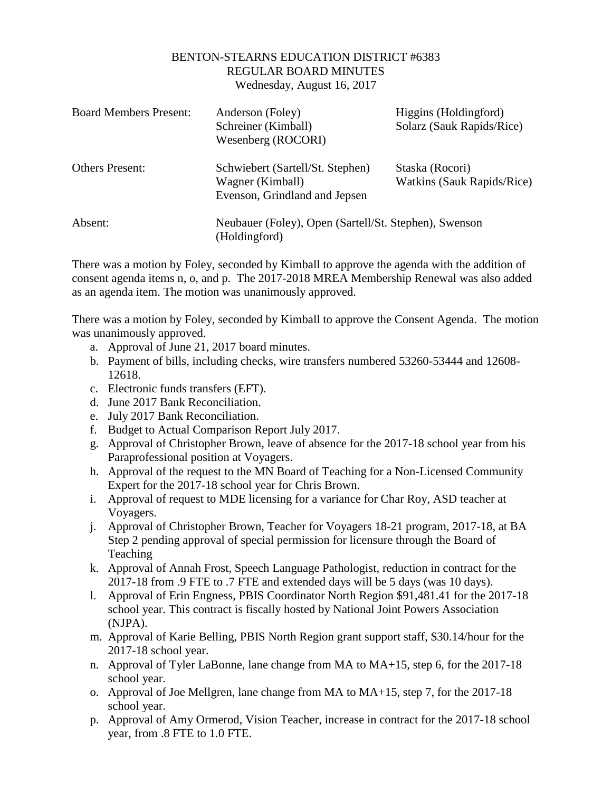## BENTON-STEARNS EDUCATION DISTRICT #6383 REGULAR BOARD MINUTES Wednesday, August 16, 2017

| <b>Board Members Present:</b> | Anderson (Foley)<br>Schreiner (Kimball)<br>Wesenberg (ROCORI)                         | Higgins (Holdingford)<br>Solarz (Sauk Rapids/Rice) |
|-------------------------------|---------------------------------------------------------------------------------------|----------------------------------------------------|
| <b>Others Present:</b>        | Schwiebert (Sartell/St. Stephen)<br>Wagner (Kimball)<br>Evenson, Grindland and Jepsen | Staska (Rocori)<br>Watkins (Sauk Rapids/Rice)      |
| Absent:                       | Neubauer (Foley), Open (Sartell/St. Stephen), Swenson<br>(Holdingford)                |                                                    |

There was a motion by Foley, seconded by Kimball to approve the agenda with the addition of consent agenda items n, o, and p. The 2017-2018 MREA Membership Renewal was also added as an agenda item. The motion was unanimously approved.

There was a motion by Foley, seconded by Kimball to approve the Consent Agenda. The motion was unanimously approved.

- a. Approval of June 21, 2017 board minutes.
- b. Payment of bills, including checks, wire transfers numbered 53260-53444 and 12608- 12618.
- c. Electronic funds transfers (EFT).
- d. June 2017 Bank Reconciliation.
- e. July 2017 Bank Reconciliation.
- f. Budget to Actual Comparison Report July 2017.
- g. Approval of Christopher Brown, leave of absence for the 2017-18 school year from his Paraprofessional position at Voyagers.
- h. Approval of the request to the MN Board of Teaching for a Non-Licensed Community Expert for the 2017-18 school year for Chris Brown.
- i. Approval of request to MDE licensing for a variance for Char Roy, ASD teacher at Voyagers.
- j. Approval of Christopher Brown, Teacher for Voyagers 18-21 program, 2017-18, at BA Step 2 pending approval of special permission for licensure through the Board of Teaching
- k. Approval of Annah Frost, Speech Language Pathologist, reduction in contract for the 2017-18 from .9 FTE to .7 FTE and extended days will be 5 days (was 10 days).
- l. Approval of Erin Engness, PBIS Coordinator North Region \$91,481.41 for the 2017-18 school year. This contract is fiscally hosted by National Joint Powers Association (NJPA).
- m. Approval of Karie Belling, PBIS North Region grant support staff, \$30.14/hour for the 2017-18 school year.
- n. Approval of Tyler LaBonne, lane change from MA to MA+15, step 6, for the 2017-18 school year.
- o. Approval of Joe Mellgren, lane change from MA to MA+15, step 7, for the 2017-18 school year.
- p. Approval of Amy Ormerod, Vision Teacher, increase in contract for the 2017-18 school year, from .8 FTE to 1.0 FTE.